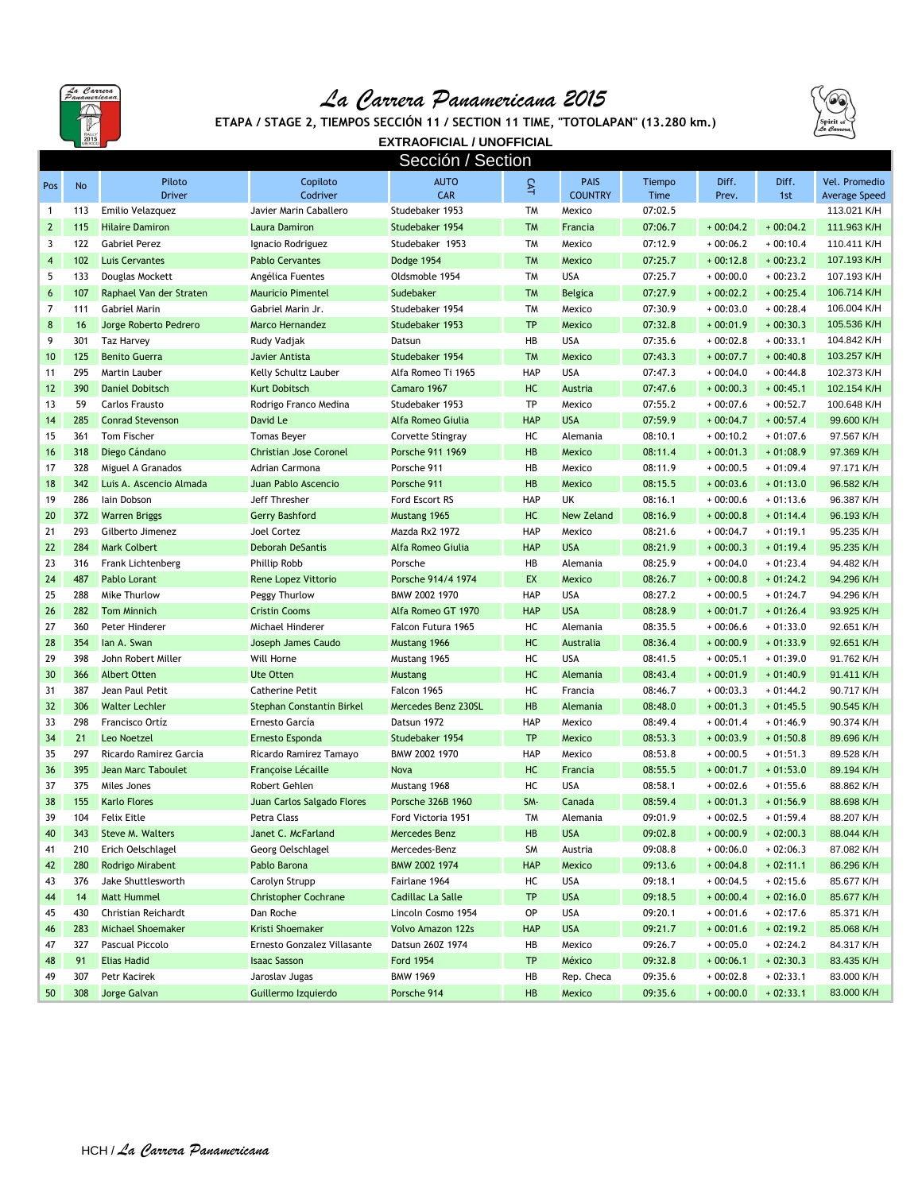

## *La Carrera Panamericana 2015*



**ETAPA / STAGE 2, TIEMPOS SECCIÓN 11 / SECTION 11 TIME, "TOTOLAPAN" (13.280 km.)**

**EXTRAOFICIAL / UNOFFICIAL**

| Sección / Section       |           |                           |                                  |                          |            |                   |         |            |            |               |
|-------------------------|-----------|---------------------------|----------------------------------|--------------------------|------------|-------------------|---------|------------|------------|---------------|
| Pos                     | <b>No</b> | Piloto                    | Copiloto                         | <b>AUTO</b>              | CAT        | <b>PAIS</b>       | Tiempo  | Diff.      | Diff.      | Vel. Promedio |
|                         |           | <b>Driver</b>             | Codriver                         | <b>CAR</b>               |            | <b>COUNTRY</b>    | Time    | Prev.      | 1st        | Average Speed |
| $\mathbf{1}$            | 113       | Emilio Velazquez          | Javier Marin Caballero           | Studebaker 1953          | <b>TM</b>  | Mexico            | 07:02.5 |            |            | 113.021 K/H   |
| $\overline{2}$          | 115       | <b>Hilaire Damiron</b>    | <b>Laura Damiron</b>             | Studebaker 1954          | <b>TM</b>  | Francia           | 07:06.7 | $+00:04.2$ | $+00:04.2$ | 111.963 K/H   |
| 3                       | 122       | <b>Gabriel Perez</b>      | Ignacio Rodriguez                | Studebaker 1953          | <b>TM</b>  | Mexico            | 07:12.9 | $+00:06.2$ | $+00:10.4$ | 110.411 K/H   |
| $\overline{\mathbf{4}}$ | 102       | <b>Luis Cervantes</b>     | <b>Pablo Cervantes</b>           | Dodge 1954               | <b>TM</b>  | Mexico            | 07:25.7 | $+00:12.8$ | $+00:23.2$ | 107.193 K/H   |
| 5                       | 133       | Douglas Mockett           | Angélica Fuentes                 | Oldsmoble 1954           | <b>TM</b>  | <b>USA</b>        | 07:25.7 | $+00:00.0$ | $+00:23.2$ | 107.193 K/H   |
| 6                       | 107       | Raphael Van der Straten   | <b>Mauricio Pimentel</b>         | Sudebaker                | <b>TM</b>  | <b>Belgica</b>    | 07:27.9 | $+00:02.2$ | $+00:25.4$ | 106.714 K/H   |
| $\overline{7}$          | 111       | Gabriel Marin             | Gabriel Marin Jr.                | Studebaker 1954          | <b>TM</b>  | Mexico            | 07:30.9 | $+00:03.0$ | $+00:28.4$ | 106.004 K/H   |
| 8                       | 16        | Jorge Roberto Pedrero     | <b>Marco Hernandez</b>           | Studebaker 1953          | <b>TP</b>  | Mexico            | 07:32.8 | $+00:01.9$ | $+00:30.3$ | 105.536 K/H   |
| 9                       | 301       | <b>Taz Harvey</b>         | Rudy Vadjak                      | Datsun                   | HB         | <b>USA</b>        | 07:35.6 | $+00:02.8$ | $+00:33.1$ | 104.842 K/H   |
| 10                      | 125       | <b>Benito Guerra</b>      | Javier Antista                   | Studebaker 1954          | <b>TM</b>  | Mexico            | 07:43.3 | $+00:07.7$ | $+00:40.8$ | 103.257 K/H   |
| 11                      | 295       | Martin Lauber             | Kelly Schultz Lauber             | Alfa Romeo Ti 1965       | HAP        | <b>USA</b>        | 07:47.3 | $+00:04.0$ | $+00:44.8$ | 102.373 K/H   |
| 12                      | 390       | <b>Daniel Dobitsch</b>    | <b>Kurt Dobitsch</b>             | Camaro 1967              | HC         | Austria           | 07:47.6 | $+00:00.3$ | $+00:45.1$ | 102.154 K/H   |
| 13                      | 59        | <b>Carlos Frausto</b>     | Rodrigo Franco Medina            | Studebaker 1953          | <b>TP</b>  | Mexico            | 07:55.2 | $+00:07.6$ | $+00:52.7$ | 100.648 K/H   |
| 14                      | 285       | <b>Conrad Stevenson</b>   | David Le                         | Alfa Romeo Giulia        | <b>HAP</b> | <b>USA</b>        | 07:59.9 | $+00:04.7$ | $+00:57.4$ | 99.600 K/H    |
| 15                      | 361       | Tom Fischer               | <b>Tomas Beyer</b>               | Corvette Stingray        | HC         | Alemania          | 08:10.1 | $+00:10.2$ | $+01:07.6$ | 97.567 K/H    |
| 16                      | 318       | Diego Cándano             | <b>Christian Jose Coronel</b>    | Porsche 911 1969         | HB         | Mexico            | 08:11.4 | $+00:01.3$ | $+01:08.9$ | 97.369 K/H    |
| 17                      | 328       | Miguel A Granados         | Adrian Carmona                   | Porsche 911              | HB         | Mexico            | 08:11.9 | $+00:00.5$ | $+01:09.4$ | 97.171 K/H    |
| 18                      | 342       | Luis A. Ascencio Almada   | Juan Pablo Ascencio              | Porsche 911              | HB         | Mexico            | 08:15.5 | $+00:03.6$ | $+01:13.0$ | 96.582 K/H    |
| 19                      | 286       | lain Dobson               | Jeff Thresher                    | Ford Escort RS           | HAP        | UK                | 08:16.1 | $+00:00.6$ | $+01:13.6$ | 96.387 K/H    |
| 20                      | 372       | <b>Warren Briggs</b>      | Gerry Bashford                   | Mustang 1965             | HC         | <b>New Zeland</b> | 08:16.9 | $+00:00.8$ | $+01:14.4$ | 96.193 K/H    |
| 21                      | 293       | Gilberto Jimenez          | <b>Joel Cortez</b>               | Mazda Rx2 1972           | HAP        | Mexico            | 08:21.6 | $+00:04.7$ | $+01:19.1$ | 95.235 K/H    |
| 22                      | 284       | <b>Mark Colbert</b>       | <b>Deborah DeSantis</b>          | Alfa Romeo Giulia        | <b>HAP</b> | <b>USA</b>        | 08:21.9 | $+00:00.3$ | $+01:19.4$ | 95.235 K/H    |
| 23                      | 316       | Frank Lichtenberg         | <b>Phillip Robb</b>              | Porsche                  | HB         | Alemania          | 08:25.9 | $+00:04.0$ | $+01:23.4$ | 94.482 K/H    |
| 24                      | 487       | Pablo Lorant              | <b>Rene Lopez Vittorio</b>       | Porsche 914/4 1974       | EX         | Mexico            | 08:26.7 | $+00:00.8$ | $+01:24.2$ | 94.296 K/H    |
| 25                      | 288       | Mike Thurlow              | Peggy Thurlow                    | BMW 2002 1970            | <b>HAP</b> | <b>USA</b>        | 08:27.2 | $+00:00.5$ | $+01:24.7$ | 94.296 K/H    |
| 26                      | 282       | <b>Tom Minnich</b>        | <b>Cristin Cooms</b>             | Alfa Romeo GT 1970       | <b>HAP</b> | <b>USA</b>        | 08:28.9 | $+00:01.7$ | $+01:26.4$ | 93.925 K/H    |
| 27                      | 360       | Peter Hinderer            | Michael Hinderer                 | Falcon Futura 1965       | HC         | Alemania          | 08:35.5 | $+00:06.6$ | $+01:33.0$ | 92.651 K/H    |
| 28                      | 354       | lan A. Swan               | Joseph James Caudo               | Mustang 1966             | HC         | Australia         | 08:36.4 | $+00:00.9$ | $+01:33.9$ | 92.651 K/H    |
| 29                      | 398       | John Robert Miller        | Will Horne                       | Mustang 1965             | HC         | <b>USA</b>        | 08:41.5 | $+00:05.1$ | $+01:39.0$ | 91.762 K/H    |
| 30                      | 366       | <b>Albert Otten</b>       | <b>Ute Otten</b>                 | Mustang                  | HC         | Alemania          | 08:43.4 | $+00:01.9$ | $+01:40.9$ | 91.411 K/H    |
| 31                      | 387       | Jean Paul Petit           | <b>Catherine Petit</b>           | Falcon 1965              | HC         | Francia           | 08:46.7 | $+00:03.3$ | $+01:44.2$ | 90.717 K/H    |
| 32                      | 306       | <b>Walter Lechler</b>     | <b>Stephan Constantin Birkel</b> | Mercedes Benz 230SL      | HB         | Alemania          | 08:48.0 | $+00:01.3$ | $+01:45.5$ | 90.545 K/H    |
| 33                      | 298       | Francisco Ortíz           | Ernesto García                   | Datsun 1972              | HAP        | Mexico            | 08:49.4 | $+00:01.4$ | $+01:46.9$ | 90.374 K/H    |
| 34                      | 21        | Leo Noetzel               | Ernesto Esponda                  | Studebaker 1954          | <b>TP</b>  | Mexico            | 08:53.3 | $+00:03.9$ | $+01:50.8$ | 89.696 K/H    |
| 35                      | 297       | Ricardo Ramirez Garcia    | Ricardo Ramirez Tamayo           | BMW 2002 1970            | <b>HAP</b> | Mexico            | 08:53.8 | $+00:00.5$ | $+01:51.3$ | 89.528 K/H    |
| 36                      | 395       | <b>Jean Marc Taboulet</b> | Françoise Lécaille               | Nova                     | HC         | Francia           | 08:55.5 | $+00:01.7$ | $+01:53.0$ | 89.194 K/H    |
| 37                      | 375       | Miles Jones               | Robert Gehlen                    | Mustang 1968             | HC         | <b>USA</b>        | 08:58.1 | $+00:02.6$ | $+01:55.6$ | 88.862 K/H    |
| 38                      | 155       | <b>Karlo Flores</b>       | Juan Carlos Salgado Flores       | Porsche 326B 1960        | SM-        | Canada            | 08:59.4 | $+00:01.3$ | $+01:56.9$ | 88.698 K/H    |
| 39                      | 104       | <b>Felix Eitle</b>        | Petra Class                      | Ford Victoria 1951       | <b>TM</b>  | Alemania          | 09:01.9 | $+00:02.5$ | $+01:59.4$ | 88.207 K/H    |
| 40                      | 343       | Steve M. Walters          | Janet C. McFarland               | Mercedes Benz            | HB         | <b>USA</b>        | 09:02.8 | $+00:00.9$ | $+02:00.3$ | 88.044 K/H    |
| 41                      | 210       | Erich Oelschlagel         | Georg Oelschlagel                | Mercedes-Benz            | SM         | Austria           | 09:08.8 | $+00:06.0$ | $+02:06.3$ | 87.082 K/H    |
| 42                      | 280       | Rodrigo Mirabent          | Pablo Barona                     | BMW 2002 1974            | <b>HAP</b> | Mexico            | 09:13.6 | $+00:04.8$ | $+02:11.1$ | 86.296 K/H    |
| 43                      | 376       | Jake Shuttlesworth        | Carolyn Strupp                   | Fairlane 1964            | HC         | <b>USA</b>        | 09:18.1 | $+00:04.5$ | $+02:15.6$ | 85.677 K/H    |
| 44                      | 14        | <b>Matt Hummel</b>        | <b>Christopher Cochrane</b>      | Cadillac La Salle        | <b>TP</b>  | <b>USA</b>        | 09:18.5 | $+00:00.4$ | $+02:16.0$ | 85.677 K/H    |
| 45                      | 430       | Christian Reichardt       | Dan Roche                        | Lincoln Cosmo 1954       | OP         | <b>USA</b>        | 09:20.1 | $+00:01.6$ | $+02:17.6$ | 85.371 K/H    |
| 46                      | 283       | Michael Shoemaker         | Kristi Shoemaker                 | <b>Volvo Amazon 122s</b> | <b>HAP</b> | <b>USA</b>        | 09:21.7 | $+00:01.6$ | $+02:19.2$ | 85.068 K/H    |
| 47                      | 327       | Pascual Piccolo           | Ernesto Gonzalez Villasante      | Datsun 260Z 1974         | HB         | Mexico            | 09:26.7 | $+00:05.0$ | $+02:24.2$ | 84.317 K/H    |
| 48                      | 91        | <b>Elias Hadid</b>        | <b>Isaac Sasson</b>              | <b>Ford 1954</b>         | <b>TP</b>  | México            | 09:32.8 | $+00:06.1$ | $+02:30.3$ | 83.435 K/H    |
| 49                      | 307       | Petr Kacirek              | Jaroslav Jugas                   | <b>BMW 1969</b>          | HB         | Rep. Checa        | 09:35.6 | $+00:02.8$ | $+02:33.1$ | 83.000 K/H    |
| 50                      | 308       | Jorge Galvan              | Guillermo Izquierdo              | Porsche 914              | HB         | Mexico            | 09:35.6 | $+00:00.0$ | $+02:33.1$ | 83.000 K/H    |